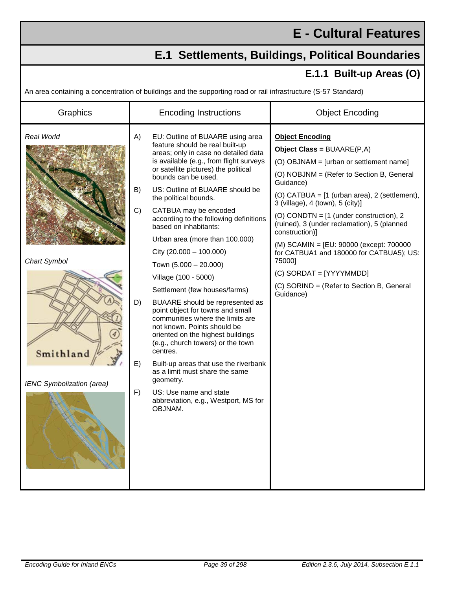## **E - Cultural Features**

## **E.1 Settlements, Buildings, Political Boundaries**

## **E.1.1 Built-up Areas (O)**

An area containing a concentration of buildings and the supporting road or rail infrastructure (S-57 Standard)

| Graphics                                                             | <b>Encoding Instructions</b>                                                                                                                                                                                                                                                                                                                                                                                                                                                                                                                                                                                                                                                                                                                                                                                                                                                                                                                                          | <b>Object Encoding</b>                                                                                                                                                                                                                                                                                                                                                                                                                                                                                                                                 |
|----------------------------------------------------------------------|-----------------------------------------------------------------------------------------------------------------------------------------------------------------------------------------------------------------------------------------------------------------------------------------------------------------------------------------------------------------------------------------------------------------------------------------------------------------------------------------------------------------------------------------------------------------------------------------------------------------------------------------------------------------------------------------------------------------------------------------------------------------------------------------------------------------------------------------------------------------------------------------------------------------------------------------------------------------------|--------------------------------------------------------------------------------------------------------------------------------------------------------------------------------------------------------------------------------------------------------------------------------------------------------------------------------------------------------------------------------------------------------------------------------------------------------------------------------------------------------------------------------------------------------|
| Real World<br>Chart Symbol<br>Smithland<br>IENC Symbolization (area) | A)<br>EU: Outline of BUAARE using area<br>feature should be real built-up<br>areas; only in case no detailed data<br>is available (e.g., from flight surveys<br>or satellite pictures) the political<br>bounds can be used.<br>US: Outline of BUAARE should be<br>B)<br>the political bounds.<br>C)<br>CATBUA may be encoded<br>according to the following definitions<br>based on inhabitants:<br>Urban area (more than 100.000)<br>City (20.000 - 100.000)<br>Town (5.000 - 20.000)<br>Village (100 - 5000)<br>Settlement (few houses/farms)<br>D)<br>BUAARE should be represented as<br>point object for towns and small<br>communities where the limits are<br>not known. Points should be<br>oriented on the highest buildings<br>(e.g., church towers) or the town<br>centres.<br>Built-up areas that use the riverbank<br>E)<br>as a limit must share the same<br>geometry.<br>F)<br>US: Use name and state<br>abbreviation, e.g., Westport, MS for<br>OBJNAM. | <b>Object Encoding</b><br>Object Class = $BUAARE(P,A)$<br>(O) OBJNAM = [urban or settlement name]<br>(O) NOBJNM = (Refer to Section B, General<br>Guidance)<br>(O) CATBUA = $[1$ (urban area), 2 (settlement),<br>3 (village), 4 (town), 5 (city)]<br>(O) CONDTN = $[1$ (under construction), 2<br>(ruined), 3 (under reclamation), 5 (planned<br>construction)]<br>(M) SCAMIN = [EU: 90000 (except: 700000<br>for CATBUA1 and 180000 for CATBUA5); US:<br>75000]<br>(C) SORDAT = [YYYYMMDD]<br>(C) SORIND = (Refer to Section B, General<br>Guidance) |
|                                                                      |                                                                                                                                                                                                                                                                                                                                                                                                                                                                                                                                                                                                                                                                                                                                                                                                                                                                                                                                                                       |                                                                                                                                                                                                                                                                                                                                                                                                                                                                                                                                                        |